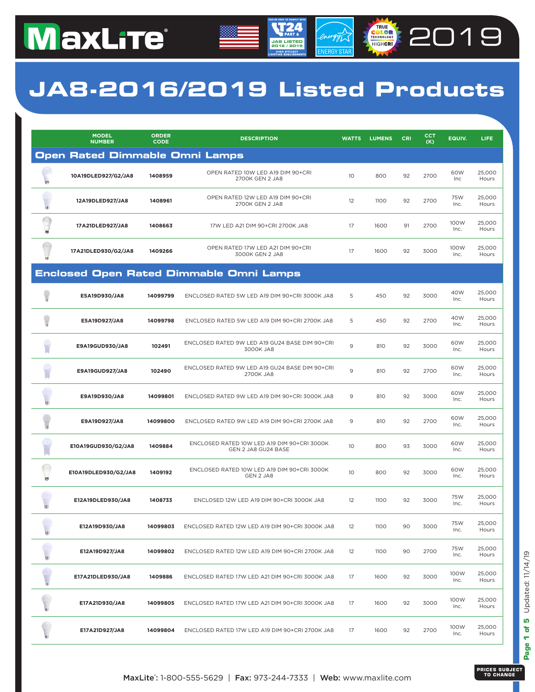### **JA8-2016/2019 Listed Products**

**JA8 LISTED 2016 / 2019**

energy

**COLORED 2019** 

|           | <b>MODEL</b><br><b>NUMBER</b>  | <b>ORDER</b><br><b>CODE</b> | <b>DESCRIPTION</b>                                                 | <b>WATTS</b>    | <b>LUMENS</b> | CRI | CCT<br>(K) | EQUIV.       | LIFE.           |
|-----------|--------------------------------|-----------------------------|--------------------------------------------------------------------|-----------------|---------------|-----|------------|--------------|-----------------|
|           | Open Rated Dimmable Omni Lamps |                             |                                                                    |                 |               |     |            |              |                 |
| 眮         | 10A19DLED927/G2/JA8            | 1408959                     | OPEN RATED 10W LED A19 DIM 90+CRI<br>2700K GEN 2 JA8               | 10 <sup>°</sup> | 800           | 92  | 2700       | 60W<br>Inc   | 25,000<br>Hours |
| 軍         | 12A19DLED927/JA8               | 1408961                     | OPEN RATED 12W LED A19 DIM 90+CRI<br>2700K GEN 2 JA8               | 12              | 1100          | 92  | 2700       | 75W<br>Inc.  | 25,000<br>Hours |
| Ü         | 17A21DLED927/JA8               | 1408663                     | 17W LED A21 DIM 90+CRI 2700K JA8                                   | 17              | 1600          | 91  | 2700       | 100W<br>Inc. | 25,000<br>Hours |
| <b>im</b> | 17A21DLED930/G2/JA8            | 1409266                     | OPEN RATED 17W LED A21 DIM 90+CRI<br>3000K GEN 2 JA8               | 17              | 1600          | 92  | 3000       | 100W<br>Inc. | 25,000<br>Hours |
|           |                                |                             | <b>Enclosed Open Rated Dimmable Omni Lamps</b>                     |                 |               |     |            |              |                 |
|           | E5A19D930/JA8                  | 14099799                    | ENCLOSED RATED 5W LED A19 DIM 90+CRI 3000K JA8                     | 5               | 450           | 92  | 3000       | 40W<br>Inc.  | 25,000<br>Hours |
|           | E5A19D927/JA8                  | 14099798                    | ENCLOSED RATED 5W LED A19 DIM 90+CRI 2700K JA8                     | 5               | 450           | 92  | 2700       | 40W<br>Inc.  | 25.000<br>Hours |
|           | E9A19GUD930/JA8                | 102491                      | ENCLOSED RATED 9W LED A19 GU24 BASE DIM 90+CRI<br>3000K JA8        | 9               | 810           | 92  | 3000       | 60W<br>Inc.  | 25,000<br>Hours |
|           | E9A19GUD927/JA8                | 102490                      | ENCLOSED RATED 9W LED A19 GU24 BASE DIM 90+CRI<br>2700K JA8        | 9               | 810           | 92  | 2700       | 60W<br>Inc.  | 25,000<br>Hours |
| ig.       | E9A19D930/JA8                  | 14099801                    | ENCLOSED RATED 9W LED A19 DIM 90+CRI 3000K JA8                     | 9               | 810           | 92  | 3000       | 60W<br>Inc.  | 25,000<br>Hours |
|           | E9A19D927/JA8                  | 14099800                    | ENCLOSED RATED 9W LED A19 DIM 90+CRI 2700K JA8                     | 9               | 810           | 92  | 2700       | 60W<br>Inc.  | 25,000<br>Hours |
|           | E10A19GUD930/G2/JA8            | 1409884                     | ENCLOSED RATED 10W LED A19 DIM 90+CRI 3000K<br>GEN 2 JA8 GU24 BASE | 10 <sup>°</sup> | 800           | 93  | 3000       | 60W<br>Inc.  | 25,000<br>Hours |
| 面         | E10A19DLED930/G2/JA8           | 1409192                     | ENCLOSED RATED 10W LED A19 DIM 90+CRI 3000K<br>GEN 2 JA8           | 10 <sup>°</sup> | 800           | 92  | 3000       | 60W<br>Inc.  | 25,000<br>Hours |
| Ħ         | E12A19DLED930/JA8              | 1408733                     | ENCLOSED 12W LED A19 DIM 90+CRI 3000K JA8                          | 12              | 1100          | 92  | 3000       | 75W<br>Inc.  | 25,000<br>Hours |
| ₹         | E12A19D930/JA8                 | 14099803                    | ENCLOSED RATED 12W LED A19 DIM 90+CRI 3000K JA8                    | 12              | 1100          | 90  | 3000       | 75W<br>Inc.  | 25,000<br>Hours |
| ₩         | E12A19D927/JA8                 | 14099802                    | ENCLOSED RATED 12W LED A19 DIM 90+CRI 2700K JA8                    | 12              | 1100          | 90  | 2700       | 75W<br>Inc.  | 25,000<br>Hours |
|           | E17A21DLED930/JA8              | 1409886                     | ENCLOSED RATED 17W LED A21 DIM 90+CRI 3000K JA8                    | 17              | 1600          | 92  | 3000       | 100W<br>Inc. | 25,000<br>Hours |
|           | E17A21D930/JA8                 | 14099805                    | ENCLOSED RATED 17W LED A21 DIM 90+CRI 3000K JA8                    | 17              | 1600          | 92  | 3000       | 100W<br>Inc. | 25,000<br>Hours |
|           | E17A21D927/JA8                 | 14099804                    | ENCLOSED RATED 17W LED A19 DIM 90+CRI 2700K JA8                    | 17              | 1600          | 92  | 2700       | 100W<br>Inc. | 25,000<br>Hours |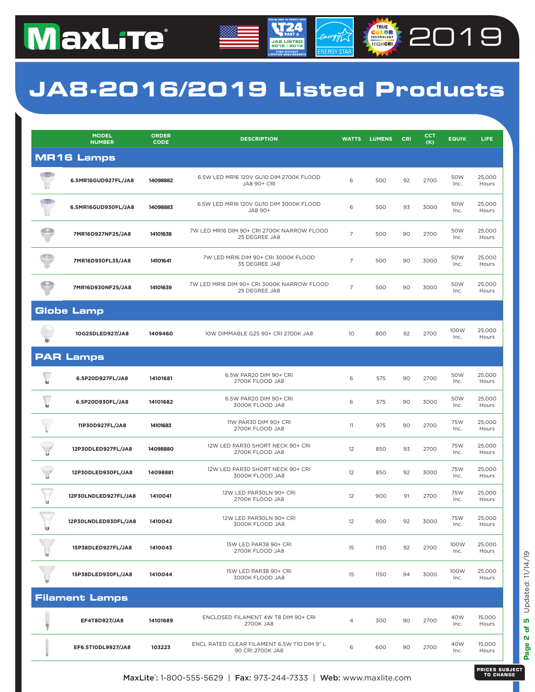### **JA8-2016/2019 Listed Products**

**JA8 LISTED 2016 / 2019**

energy

**COLORED 2019** 

|        | <b>MODEL</b><br><b>NUMBER</b> | <b>ORDER</b><br><b>CODE</b> | <b>DESCRIPTION</b>                                              | <b>WATTS</b>   | <b>LUMENS</b> | <b>CRI</b> | <b>CCT</b><br>(K) | EQUIV.       | <b>LIFE</b>     |
|--------|-------------------------------|-----------------------------|-----------------------------------------------------------------|----------------|---------------|------------|-------------------|--------------|-----------------|
|        | <b>MR16 Lamps</b>             |                             |                                                                 |                |               |            |                   |              |                 |
|        | 6.5MR16GUD927FL/JA8           | 14098882                    | 6.5W LED MR16 120V GU10 DIM 2700K FLOOD<br>JA8 90+ CRI          | 6              | 500           | 92         | 2700              | 50W<br>Inc.  | 25.000<br>Hours |
|        | 6.5MR16GUD930FL/JA8           | 14098883                    | 6.5W LED MR16 120V GU10 DIM 3000K FLOOD<br>JA8 90+              | 6              | 500           | 93         | 3000              | 50W<br>Inc.  | 25,000<br>Hours |
| (0, 0) | 7MR16D927NF25/JA8             | 14101638                    | 7W LED MR16 DIM 90+ CRI 2700K NARROW FLOOD<br>25 DEGREE JA8     | $\overline{7}$ | 500           | 90         | 2700              | 50W<br>Inc.  | 25,000<br>Hours |
|        | 7MR16D930FL35/JA8             | 14101641                    | 7W LED MR16 DIM 90+ CRI 3000K FLOOD<br>35 DEGREE JA8            | $\overline{7}$ | 500           | 90         | 3000              | 50W<br>Inc.  | 25,000<br>Hours |
|        | 7MR16D930NF25/JA8             | 14101639                    | 7W LED MR16 DIM 90+ CRI 3000K NARROW FLOOD<br>25 DEGREE JA8     | $\overline{7}$ | 500           | 90         | 3000              | 50W<br>Inc.  | 25,000<br>Hours |
|        | <b>Globe Lamp</b>             |                             |                                                                 |                |               |            |                   |              |                 |
|        | 10G25DLED927/JA8              | 1409460                     | 10W DIMMABLE G25 90+ CRI 2700K JA8                              | 10             | 800           | 92         | 2700              | 100W<br>Inc. | 25,000<br>Hours |
|        | <b>PAR Lamps</b>              |                             |                                                                 |                |               |            |                   |              |                 |
|        | 6.5P20D927FL/JA8              | 14101681                    | 6.5W PAR20 DIM 90+ CRI<br>2700K FLOOD JA8                       | 6              | 575           | 90         | 2700              | 50W<br>Inc.  | 25,000<br>Hours |
|        | 6.5P20D930FL/JA8              | 14101682                    | 6.5W PAR20 DIM 90+ CRI<br>3000K FLOOD JA8                       | 6              | 575           | 90         | 3000              | 50W<br>Inc.  | 25,000<br>Hours |
|        | 11P30D927FL/JA8               | 14101683                    | 11W PAR30 DIM 90+ CRI<br>2700K FLOOD JA8                        | 11             | 975           | 90         | 2700              | 75W<br>Inc.  | 25,000<br>Hours |
|        | 12P30DLED927FL/JA8            | 14098880                    | 12W LED PAR30 SHORT NECK 90+ CRI<br>2700K FLOOD JA8             | 12             | 850           | 93         | 2700              | 75W<br>Inc.  | 25,000<br>Hours |
|        | 12P30DLED930FL/JA8            | 14098881                    | 12W LED PAR30 SHORT NECK 90+ CRI<br>3000K FLOOD JA8             | 12             | 850           | 92         | 3000              | 75W<br>Inc.  | 25,000<br>Hours |
|        | 12P30LNDLED927FL/JA8          | 1410041                     | 12W LED PAR30LN 90+ CRI<br>2700K FLOOD JA8                      | 12             | 900           | 91         | 2700              | 75W<br>Inc.  | 25,000<br>Hours |
|        | 12P30LNDLED930FL/JA8          | 1410042                     | 12W LED PAR30LN 90+ CRI<br>3000K FLOOD JA8                      | 12             | 900           | 92         | 3000              | 75W<br>Inc.  | 25,000<br>Hours |
|        | 15P38DLED927FL/JA8            | 1410043                     | 15W LED PAR38 90+ CRI<br>2700K FLOOD JA8                        | 15             | 1150          | 92         | 2700              | 100W<br>Inc. | 25,000<br>Hours |
|        | 15P38DLED930FL/JA8            | 1410044                     | 15W LED PAR38 90+ CRI<br>3000K FLOOD JA8                        | 15             | 1150          | 94         | 3000              | 100W<br>Inc. | 25,000<br>Hours |
|        | <b>Filament Lamps</b>         |                             |                                                                 |                |               |            |                   |              |                 |
| U      | EF4T8D927/JA8                 | 14101689                    | ENCLOSED FILAMENT 4W T8 DIM 90+ CRI<br>2700K JA8                | $\overline{4}$ | 300           | 90         | 2700              | 40W<br>Inc.  | 15,000<br>Hours |
|        | EF6.5T10DL9927/JA8            | 103223                      | ENCL RATED CLEAR FILAMENT 6.5W T10 DIM 9" L<br>90 CRI 2700K JA8 | 6              | 600           | 90         | 2700              | 40W<br>Inc.  | 15,000<br>Hours |

Page 2 of 5 Updated: 11/14/19 **Page 2 of 5** Updated: 11/14/19

**MaxLite':** 1-800-555-5629 | **Fax:** 973-244-7333 | **Web:** www.maxlite.com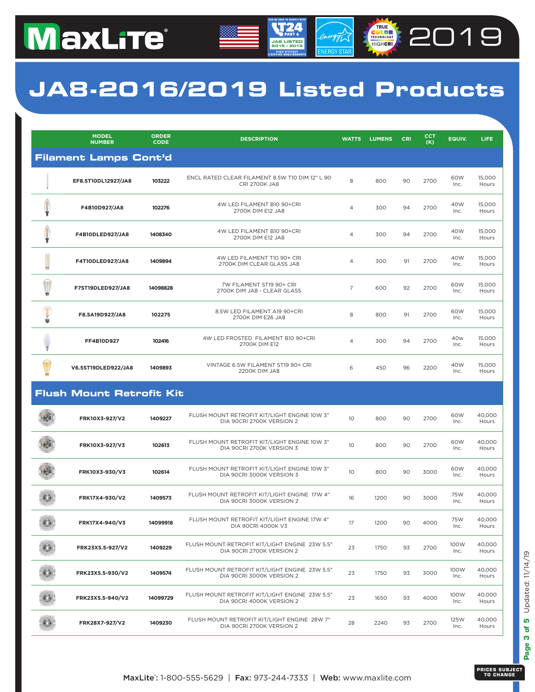### **JA8-2016/2019 Listed Products**

**JA8 LISTED 2016 / 2019**

energy

**COLORED 2019** 

|    | <b>MODEL</b><br><b>NUMBER</b>   | <b>ORDER</b><br><b>CODE</b> | <b>DESCRIPTION</b>                                                          | <b>WATTS</b>    | <b>LUMENS</b> | <b>CRI</b> | <b>CCT</b><br>(K) | EQUIV.       | LIFE            |  |
|----|---------------------------------|-----------------------------|-----------------------------------------------------------------------------|-----------------|---------------|------------|-------------------|--------------|-----------------|--|
|    | <b>Filament Lamps Cont'd</b>    |                             |                                                                             |                 |               |            |                   |              |                 |  |
|    | EF8.5T10DL12927/JA8             | 103222                      | ENCL RATED CLEAR FILAMENT 8.5W T10 DIM 12" L 90<br><b>CRI 2700K JA8</b>     | 8               | 800           | 90         | 2700              | 60W<br>Inc.  | 15,000<br>Hours |  |
|    | F4B10D927/JA8                   | 102276                      | 4W LED FILAMENT B10 90+CRI<br>2700K DIM E12 JA8                             | 4               | 300           | 94         | 2700              | 40W<br>Inc.  | 15,000<br>Hours |  |
|    | F4B10DLED927/JA8                | 1408340                     | 4W LED FILAMENT B10 90+CRI<br>2700K DIM E12 JA8                             | 4               | 300           | 94         | 2700              | 40W<br>Inc.  | 15,000<br>Hours |  |
| U) | F4T10DLED927/JA8                | 1409894                     | 4W LED FILAMENT T10 90+ CRI<br>2700K DIM CLEAR GLASS JA8                    | $\overline{4}$  | 300           | 91         | 2700              | 40W<br>Inc.  | 15,000<br>Hours |  |
|    | F7ST19DLED927/JA8               | 14098828                    | 7W FILAMENT ST19 90+ CRI<br>2700K DIM JA8 - CLEAR GLASS                     | $\overline{7}$  | 600           | 92         | 2700              | 60W<br>Inc.  | 15,000<br>Hours |  |
|    | F8.5A19D927/JA8                 | 102275                      | 8.5W LED FILAMENT A19 90+CRI<br>2700K DIM E26 JA8                           | 8               | 800           | 91         | 2700              | 60W<br>Inc.  | 15,000<br>Hours |  |
|    | FF4B10D927                      | 102416                      | 4W LED FROSTED FILAMENT B10 90+CRI<br>2700K DIM E12                         | 4               | 300           | 94         | 2700              | 40w<br>Inc.  | 15,000<br>Hours |  |
|    | V6.5ST19DLED922/JA8             | 1409893                     | VINTAGE 6.5W FILAMENT ST19 90+ CRI<br>2200K DIM JA8                         | 6               | 450           | 96         | 2200              | 40W<br>Inc.  | 15,000<br>Hours |  |
|    | <b>Flush Mount Retrofit Kit</b> |                             |                                                                             |                 |               |            |                   |              |                 |  |
|    | FRK10X3-927/V2                  | 1409227                     | FLUSH MOUNT RETROFIT KIT/LIGHT ENGINE 10W 3"<br>DIA 90CRI 2700K VERSION 2   | 10 <sup>°</sup> | 800           | 90         | 2700              | 60W<br>Inc.  | 40,000<br>Hours |  |
|    | FRK10X3-927/V3                  | 102613                      | FLUSH MOUNT RETROFIT KIT/LIGHT ENGINE 10W 3"<br>DIA 90CRI 2700K VERSION 3   | 10              | 800           | 90         | 2700              | 60W<br>Inc.  | 40,000<br>Hours |  |
|    | FRK10X3-930/V3                  | 102614                      | FLUSH MOUNT RETROFIT KIT/LIGHT ENGINE 10W 3"<br>DIA 90CRI 3000K VERSION 3   | 10 <sup>°</sup> | 800           | 90         | 3000              | 60W<br>Inc.  | 40,000<br>Hours |  |
|    | FRK17X4-930/V2                  | 1409573                     | FLUSH MOUNT RETROFIT KIT/LIGHT ENGINE 17W 4"<br>DIA 90CRI 3000K VERSION 2   | 16              | 1200          | 90         | 3000              | 75W<br>Inc.  | 40,000<br>Hours |  |
|    | FRK17X4-940/V3                  | 14099918                    | FLUSH MOUNT RETROFIT KIT/LIGHT ENGINE 17W 4"<br><b>DIA 90CRI 4000K V3</b>   | 17              | 1200          | 90         | 4000              | 75W<br>Inc.  | 40,000<br>Hours |  |
|    | FRK23X5.5-927/V2                | 1409229                     | FLUSH MOUNT RETROFIT KIT/LIGHT ENGINE 23W 5.5"<br>DIA 90CRI 2700K VERSION 2 | 23              | 1750          | 93         | 2700              | 100W<br>Inc. | 40,000<br>Hours |  |
|    | FRK23X5.5-930/V2                | 1409574                     | FLUSH MOUNT RETROFIT KIT/LIGHT ENGINE 23W 5.5"<br>DIA 90CRI 3000K VERSION 2 | 23              | 1750          | 93         | 3000              | 100W<br>Inc. | 40,000<br>Hours |  |
|    | FRK23X5.5-940/V2                | 14099729                    | FLUSH MOUNT RETROFIT KIT/LIGHT ENGINE 23W 5.5"<br>DIA 90CRI 4000K VERSION 2 | 23              | 1650          | 93         | 4000              | 100W<br>Inc. | 40,000<br>Hours |  |
|    | FRK28X7-927/V2                  | 1409230                     | FLUSH MOUNT RETROFIT KIT/LIGHT ENGINE 28W 7"<br>DIA 90CRI 2700K VERSION 2   | 28              | 2240          | 93         | 2700              | 125W<br>Inc. | 40,000<br>Hours |  |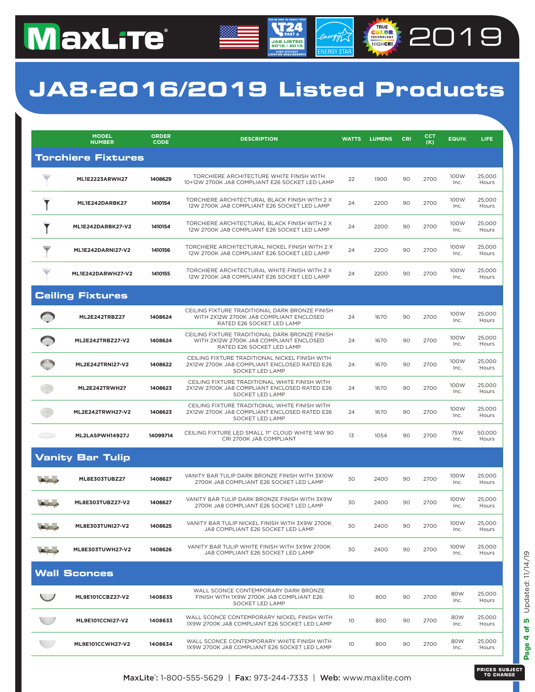### **JA8-2016/2019 Listed Products**

**JA8 LISTED 2016 / 2019**

energy

**COLORED 2019** 

|                                                             | <b>MODEL</b><br><b>NUMBER</b> | <b>ORDER</b><br><b>CODE</b> | <b>DESCRIPTION</b>                                                                                                     | <b>WATTS</b>    | <b>LUMENS</b> | <b>CRI</b> | сст<br>(K) | EQUIV.       | LIFE.           |
|-------------------------------------------------------------|-------------------------------|-----------------------------|------------------------------------------------------------------------------------------------------------------------|-----------------|---------------|------------|------------|--------------|-----------------|
|                                                             | <b>Torchiere Fixtures</b>     |                             |                                                                                                                        |                 |               |            |            |              |                 |
|                                                             | <b>ML1E2223ARWH27</b>         | 1408629                     | TORCHIERE ARCHITECTURE WHITE FINISH WITH<br>10+12W 2700K JA8 COMPLIANT E26 SOCKET LED LAMP                             | 22              | 1900          | 90         | 2700       | 100W<br>Inc. | 25,000<br>Hours |
|                                                             | ML1E242DARBK27                | 1410154                     | TORCHIERE ARCHITECTURAL BLACK FINISH WITH 2 X<br>12W 2700K JA8 COMPLIANT E26 SOCKET LED LAMP                           | 24              | 2200          | 90         | 2700       | 100W<br>Inc. | 25,000<br>Hours |
|                                                             | ML1E242DARBK27-V2             | 1410154                     | TORCHIERE ARCHITECTURAL BLACK FINISH WITH 2 X<br>12W 2700K JA8 COMPLIANT E26 SOCKET LED LAMP                           | 24              | 2200          | 90         | 2700       | 100W<br>Inc. | 25,000<br>Hours |
|                                                             | ML1E242DARNI27-V2             | 1410156                     | TORCHIERE ARCHITECTURAL NICKEL FINISH WITH 2 X<br>12W 2700K JA8 COMPLIANT E26 SOCKET LED LAMP                          | 24              | 2200          | 90         | 2700       | 100W<br>Inc. | 25,000<br>Hours |
|                                                             | ML1E242DARWH27-V2             | 1410155                     | TORCHIERE ARCHITECTURAL WHITE FINISH WITH 2 X<br>12W 2700K JA8 COMPLIANT E26 SOCKET LED LAMP                           | 24              | 2200          | 90         | 2700       | 100W<br>Inc. | 25,000<br>Hours |
|                                                             | <b>Ceiling Fixtures</b>       |                             |                                                                                                                        |                 |               |            |            |              |                 |
|                                                             | <b>ML2E242TRBZ27</b>          | 1408624                     | CEILING FIXTURE TRADITIONAL DARK BRONZE FINISH<br>WITH 2X12W 2700K JA8 COMPLIANT ENCLOSED<br>RATED E26 SOCKET LED LAMP | 24              | 1670          | 90         | 2700       | 100W<br>Inc. | 25,000<br>Hours |
|                                                             | ML2E242TRBZ27-V2              | 1408624                     | CEILING FIXTURE TRADITIONAL DARK BRONZE FINISH<br>WITH 2X12W 2700K JA8 COMPLIANT ENCLOSED<br>RATED E26 SOCKET LED LAMP | 24              | 1670          | 90         | 2700       | 100W<br>Inc. | 25,000<br>Hours |
|                                                             | ML2E242TRNI27-V2              | 1408622                     | CEILING FIXTURE TRADITIONAL NICKEL FINISH WITH<br>2X12W 2700K JA8 COMPLIANT ENCLOSED RATED E26<br>SOCKET LED LAMP      | 24              | 1670          | 90         | 2700       | 100W<br>Inc. | 25,000<br>Hours |
|                                                             | ML2E242TRWH27                 | 1408623                     | CEILING FIXTURE TRADITIONAL WHITE FINISH WITH<br>2X12W 2700K JA8 COMPLIANT ENCLOSED RATED E26<br>SOCKET LED LAMP       | 24              | 1670          | 90         | 2700       | 100W<br>Inc. | 25,000<br>Hours |
|                                                             | ML2E242TRWH27-V2              | 1408623                     | CEILING FIXTURE TRADITIONAL WHITE FINISH WITH<br>2X12W 2700K JA8 COMPLIANT ENCLOSED RATED E26<br>SOCKET LED LAMP       | 24              | 1670          | 90         | 2700       | 100W<br>Inc. | 25,000<br>Hours |
| $\sim$ $\sim$                                               | ML2LASPWH14927J               | 14099714                    | CEILING FIXTURE LED SMALL 11" CLOUD WHITE 14W 90<br>CRI 2700K JA8 COMPLIANT                                            | 13              | 1054          | 90         | 2700       | 75W<br>Inc.  | 50,000<br>Hours |
|                                                             | <b>Vanity Bar Tulip</b>       |                             |                                                                                                                        |                 |               |            |            |              |                 |
|                                                             | ML8E303TUBZ27                 | 1408627                     | VANITY BAR TULIP DARK BRONZE FINISH WITH 3X10W<br>2700K JA8 COMPLIANT E26 SOCKET LED LAMP                              | 30              | 2400          | 90         | 2700       | 100W<br>Inc. | 25,000<br>Hours |
| $\mathbf{A} \cdot \mathbf{A} = \mathbf{A} \cdot \mathbf{A}$ | ML8E303TUBZ27-V2              | 1408627                     | VANITY BAR TULIP DARK BRONZE FINISH WITH 3X9W<br>2700K JA8 COMPLIANT E26 SOCKET LED LAMP                               | 30              | 2400          | 90         | 2700       | 100W<br>Inc. | 25,000<br>Hours |
|                                                             | ML8E303TUNI27-V2              | 1408625                     | VANITY BAR TULIP NICKEL FINISH WITH 3X9W 2700K<br>JA8 COMPLIANT E26 SOCKET LED LAMP                                    | 30              | 2400          | 90         | 2700       | 100W<br>Inc. | 25,000<br>Hours |
| <b>Side of The Assessment</b>                               | ML8E303TUWH27-V2              | 1408626                     | VANITY BAR TULIP WHITE FINISH WITH 3X9W 2700K<br>JA8 COMPLIANT E26 SOCKET LED LAMP                                     | 30              | 2400          | 90         | 2700       | 100W<br>Inc. | 25,000<br>Hours |
|                                                             | <b>Wall Sconces</b>           |                             |                                                                                                                        |                 |               |            |            |              |                 |
|                                                             | ML9E101CCBZ27-V2              | 1408635                     | WALL SCONCE CONTEMPORARY DARK BRONZE<br>FINISH WITH 1X9W 2700K JA8 COMPLIANT E26<br>SOCKET LED LAMP                    | 10              | 800           | 90         | 2700       | 80W<br>Inc.  | 25,000<br>Hours |
|                                                             | <b>ML9E101CCNI27-V2</b>       | 1408633                     | WALL SCONCE CONTEMPORARY NICKEL FINISH WITH<br>1X9W 2700K JA8 COMPLIANT E26 SOCKET LED LAMP                            | 10 <sup>°</sup> | 800           | 90         | 2700       | 80W<br>Inc.  | 25.000<br>Hours |
|                                                             | ML9E101CCWH27-V2              | 1408634                     | WALL SCONCE CONTEMPORARY WHITE FINISH WITH<br>1X9W 2700K JA8 COMPLIANT E26 SOCKET LED LAMP                             | 10 <sup>°</sup> | 800           | 90         | 2700       | 80W<br>Inc.  | 25,000<br>Hours |

Page 4 of 5 Updated: 11/14/19 **Page 4 of 5** Updated: 11/14/19